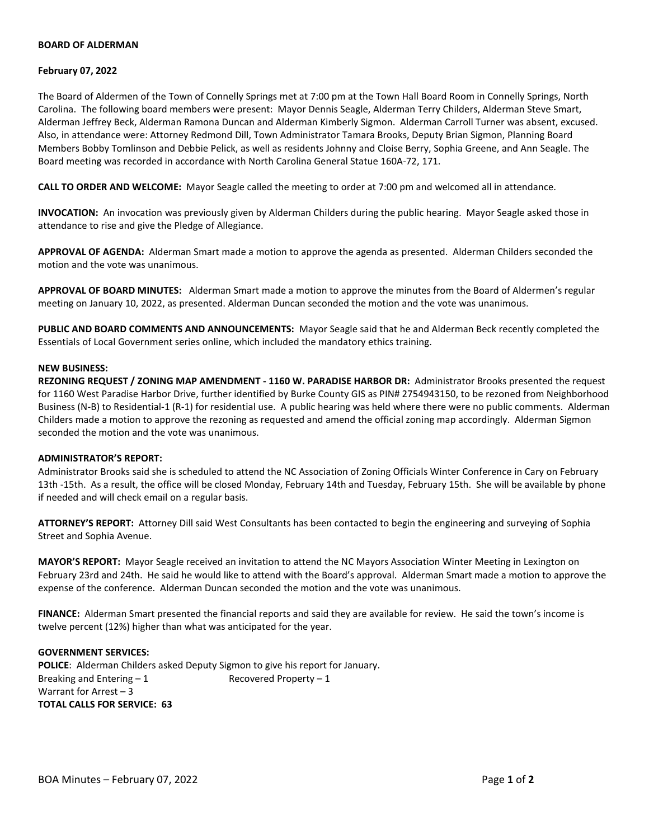# **BOARD OF ALDERMAN**

## **February 07, 2022**

The Board of Aldermen of the Town of Connelly Springs met at 7:00 pm at the Town Hall Board Room in Connelly Springs, North Carolina. The following board members were present: Mayor Dennis Seagle, Alderman Terry Childers, Alderman Steve Smart, Alderman Jeffrey Beck, Alderman Ramona Duncan and Alderman Kimberly Sigmon. Alderman Carroll Turner was absent, excused. Also, in attendance were: Attorney Redmond Dill, Town Administrator Tamara Brooks, Deputy Brian Sigmon, Planning Board Members Bobby Tomlinson and Debbie Pelick, as well as residents Johnny and Cloise Berry, Sophia Greene, and Ann Seagle. The Board meeting was recorded in accordance with North Carolina General Statue 160A-72, 171.

**CALL TO ORDER AND WELCOME:** Mayor Seagle called the meeting to order at 7:00 pm and welcomed all in attendance.

**INVOCATION:** An invocation was previously given by Alderman Childers during the public hearing. Mayor Seagle asked those in attendance to rise and give the Pledge of Allegiance.

**APPROVAL OF AGENDA:** Alderman Smart made a motion to approve the agenda as presented. Alderman Childers seconded the motion and the vote was unanimous.

**APPROVAL OF BOARD MINUTES:** Alderman Smart made a motion to approve the minutes from the Board of Aldermen's regular meeting on January 10, 2022, as presented. Alderman Duncan seconded the motion and the vote was unanimous.

**PUBLIC AND BOARD COMMENTS AND ANNOUNCEMENTS:** Mayor Seagle said that he and Alderman Beck recently completed the Essentials of Local Government series online, which included the mandatory ethics training.

## **NEW BUSINESS:**

**REZONING REQUEST / ZONING MAP AMENDMENT - 1160 W. PARADISE HARBOR DR:** Administrator Brooks presented the request for 1160 West Paradise Harbor Drive, further identified by Burke County GIS as PIN# 2754943150, to be rezoned from Neighborhood Business (N-B) to Residential-1 (R-1) for residential use. A public hearing was held where there were no public comments. Alderman Childers made a motion to approve the rezoning as requested and amend the official zoning map accordingly. Alderman Sigmon seconded the motion and the vote was unanimous.

#### **ADMINISTRATOR'S REPORT:**

Administrator Brooks said she is scheduled to attend the NC Association of Zoning Officials Winter Conference in Cary on February 13th -15th. As a result, the office will be closed Monday, February 14th and Tuesday, February 15th. She will be available by phone if needed and will check email on a regular basis.

**ATTORNEY'S REPORT:** Attorney Dill said West Consultants has been contacted to begin the engineering and surveying of Sophia Street and Sophia Avenue.

**MAYOR'S REPORT:** Mayor Seagle received an invitation to attend the NC Mayors Association Winter Meeting in Lexington on February 23rd and 24th. He said he would like to attend with the Board's approval. Alderman Smart made a motion to approve the expense of the conference. Alderman Duncan seconded the motion and the vote was unanimous.

**FINANCE:** Alderman Smart presented the financial reports and said they are available for review. He said the town's income is twelve percent (12%) higher than what was anticipated for the year.

# **GOVERNMENT SERVICES:**

**POLICE**: Alderman Childers asked Deputy Sigmon to give his report for January. Breaking and Entering  $-1$  Recovered Property  $-1$ Warrant for Arrest – 3 **TOTAL CALLS FOR SERVICE: 63**